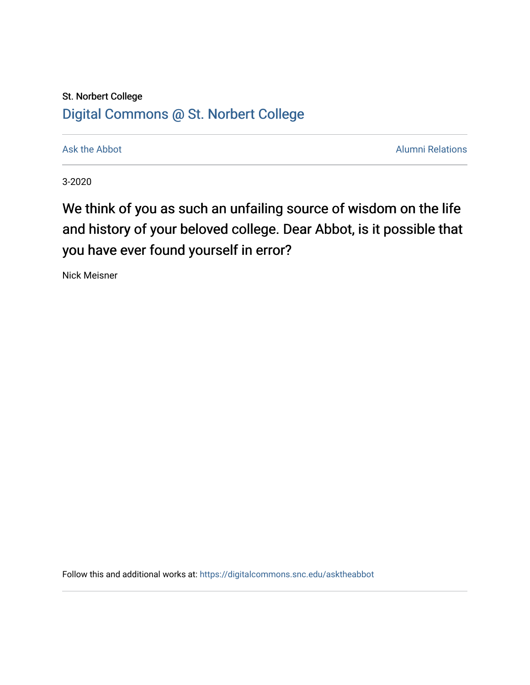## St. Norbert College [Digital Commons @ St. Norbert College](https://digitalcommons.snc.edu/)

[Ask the Abbot](https://digitalcommons.snc.edu/asktheabbot) **Alumni Relations** Ask the Abbot [Alumni Relations](https://digitalcommons.snc.edu/alumni) and Alumni Relations and Alumni Relations and Alumni Relations and Alumni Relations and Alumni Relations and Alumni Relations and Alumni Relations and Alumni

3-2020

## We think of you as such an unfailing source of wisdom on the life and history of your beloved college. Dear Abbot, is it possible that you have ever found yourself in error?

Nick Meisner

Follow this and additional works at: [https://digitalcommons.snc.edu/asktheabbot](https://digitalcommons.snc.edu/asktheabbot?utm_source=digitalcommons.snc.edu%2Fasktheabbot%2F158&utm_medium=PDF&utm_campaign=PDFCoverPages)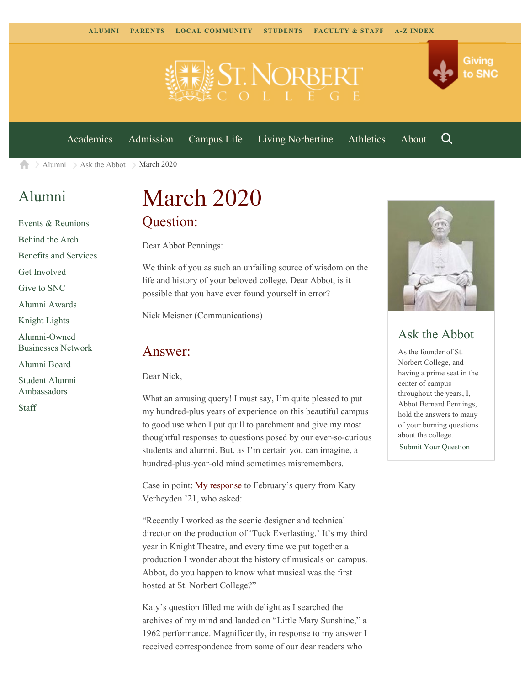

[Academics](https://www.snc.edu/academics) [Admission](https://www.snc.edu/admission) [Campus Life](https://www.snc.edu/campuslife) [Living Norbertine](https://www.snc.edu/livingnorbertine) [Athletics](https://www.snc.edu/athletics) [About](https://www.snc.edu/about)

Q

Giving

to SNC

 $\geq$  [Alumni](https://www.snc.edu/alumni/)  $\geq$  [Ask the Abbot](https://www.snc.edu/alumni/abbot/)  $\geq$  March 2020 A

### [Alumni](https://www.snc.edu/alumni/index.html)

[Events & Reunions](https://www.snc.edu/alumni/event/index.html) [Behind the Arch](https://www.snc.edu/alumni/event/behindthearch/) [Benefits and Services](https://www.snc.edu/alumni/benefits.html) [Get Involved](https://www.snc.edu/alumni/getinvolved.html) [Give to SNC](http://giving.snc.edu/) [Alumni Awards](https://www.snc.edu/alumni/awards/index.html) [Knight Lights](https://www.snc.edu/alumni/knightlights/index.html) [Alumni-Owned](https://www.snc.edu/alumni/directory/index.html) [Businesses Network](https://www.snc.edu/alumni/directory/index.html) [Alumni Board](https://www.snc.edu/alumni/alumniboard.html) [Student Alumni](https://www.snc.edu/alumni/saa.html) [Ambassadors](https://www.snc.edu/alumni/saa.html)

[Staff](https://www.snc.edu/alumni/contactus.html)

# March 2020 Question:

Dear Abbot Pennings:

We think of you as such an unfailing source of wisdom on the life and history of your beloved college. Dear Abbot, is it possible that you have ever found yourself in error?

Nick Meisner (Communications)

#### Answer:

Dear Nick,

What an amusing query! I must say, I'm quite pleased to put my hundred-plus years of experience on this beautiful campus to good use when I put quill to parchment and give my most thoughtful responses to questions posed by our ever-so-curious students and alumni. But, as I'm certain you can imagine, a hundred-plus-year-old mind sometimes misremembers.

Case in point: [My response](https://www.snc.edu/alumni/abbot/202002.html) to February's query from Katy Verheyden '21, who asked:

"Recently I worked as the scenic designer and technical director on the production of 'Tuck Everlasting.' It's my third year in Knight Theatre, and every time we put together a production I wonder about the history of musicals on campus. Abbot, do you happen to know what musical was the first hosted at St. Norbert College?"

Katy's question filled me with delight as I searched the archives of my mind and landed on "Little Mary Sunshine," a 1962 performance. Magnificently, in response to my answer I received correspondence from some of our dear readers who



#### Ask the Abbot

As the founder of St. Norbert College, and having a prime seat in the center of campus throughout the years, I, Abbot Bernard Pennings, hold the answers to many of your burning questions about the college. [Submit Your Question](https://www.snc.edu/alumni/abbot/index.html)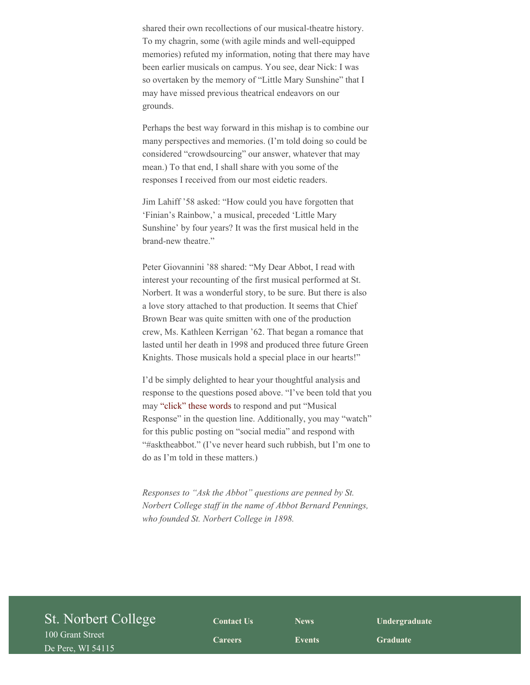shared their own recollections of our musical-theatre history. To my chagrin, some (with agile minds and well-equipped memories) refuted my information, noting that there may have been earlier musicals on campus. You see, dear Nick: I was so overtaken by the memory of "Little Mary Sunshine" that I may have missed previous theatrical endeavors on our grounds.

Perhaps the best way forward in this mishap is to combine our many perspectives and memories. (I'm told doing so could be considered "crowdsourcing" our answer, whatever that may mean.) To that end, I shall share with you some of the responses I received from our most eidetic readers.

Jim Lahiff '58 asked: "How could you have forgotten that 'Finian's Rainbow,' a musical, preceded 'Little Mary Sunshine' by four years? It was the first musical held in the brand-new theatre."

Peter Giovannini '88 shared: "My Dear Abbot, I read with interest your recounting of the first musical performed at St. Norbert. It was a wonderful story, to be sure. But there is also a love story attached to that production. It seems that Chief Brown Bear was quite smitten with one of the production crew, Ms. Kathleen Kerrigan '62. That began a romance that lasted until her death in 1998 and produced three future Green Knights. Those musicals hold a special place in our hearts!"

I'd be simply delighted to hear your thoughtful analysis and response to the questions posed above. "I've been told that you may ["click" these words](https://www.snc.edu/alumni/abbot/) to respond and put "Musical Response" in the question line. Additionally, you may "watch" for this public posting on "social media" and respond with "#asktheabbot." (I've never heard such rubbish, but I'm one to do as I'm told in these matters.)

*Responses to "Ask the Abbot" questions are penned by St. Norbert College staff in the name of Abbot Bernard Pennings, who founded St. Norbert College in 1898.*

| St. Norbert College | <b>Contact Us</b> | <b>News</b>   | Undergraduate   |  |
|---------------------|-------------------|---------------|-----------------|--|
| 100 Grant Street    | <b>Careers</b>    | <b>Events</b> | <b>Graduate</b> |  |
| De Pere, WI 54115   |                   |               |                 |  |